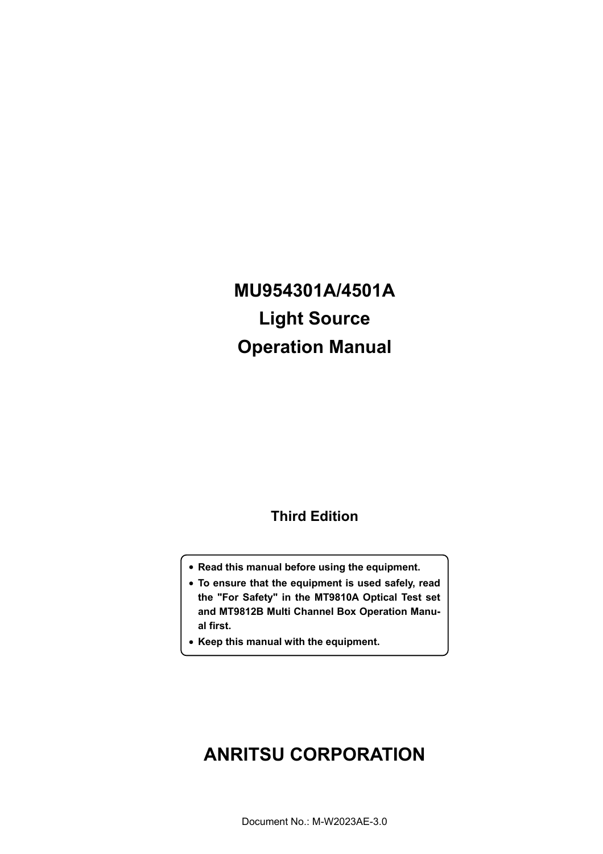# **MU954301A/4501A Light Source Operation Manual**

### **Third Edition**

- **Read this manual before using the equipment.**
- **To ensure that the equipment is used safely, read the "For Safety" in the MT9810A Optical Test set and MT9812B Multi Channel Box Operation Manual first.**
- **Keep this manual with the equipment.**

## **ANRITSU CORPORATION**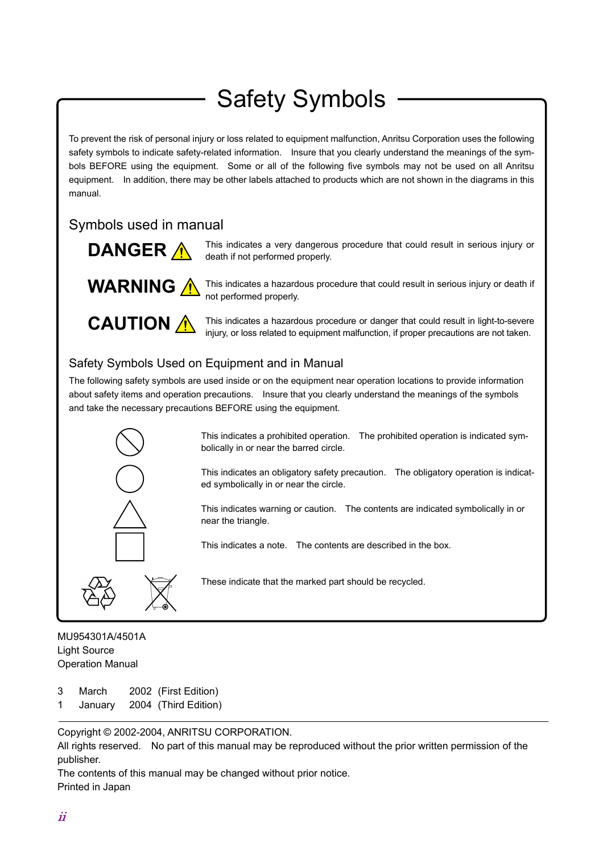# Safety Symbols

To prevent the risk of personal injury or loss related to equipment malfunction, Anritsu Corporation uses the following safety symbols to indicate safety-related information. Insure that you clearly understand the meanings of the symbols BEFORE using the equipment. Some or all of the following five symbols may not be used on all Anritsu equipment. In addition, there may be other labels attached to products which are not shown in the diagrams in this manual.

### Symbols used in manual



This indicates a very dangerous procedure that could result in serious injury or death if not performed properly.



This indicates a hazardous procedure that could result in serious injury or death if



CAUTION A This indicates a hazardous procedure or danger that could result in light-to-severe injury, or loss related to equipment malfunction, if proper precautions are not taken.

#### Safety Symbols Used on Equipment and in Manual

The following safety symbols are used inside or on the equipment near operation locations to provide information about safety items and operation precautions. Insure that you clearly understand the meanings of the symbols and take the necessary precautions BEFORE using the equipment.



This indicates a prohibited operation. The prohibited operation is indicated symbolically in or near the barred circle.

This indicates an obligatory safety precaution. The obligatory operation is indicated symbolically in or near the circle.

This indicates warning or caution. The contents are indicated symbolically in or near the triangle.

This indicates a note. The contents are described in the box.

These indicate that the marked part should be recycled.

MU954301A/4501A Light Source Operation Manual

- 3 March 2002 (First Edition)
- 1 January 2004 (Third Edition)

#### Copyright © 2002-2004, ANRITSU CORPORATION.

All rights reserved. No part of this manual may be reproduced without the prior written permission of the publisher.

The contents of this manual may be changed without prior notice. Printed in Japan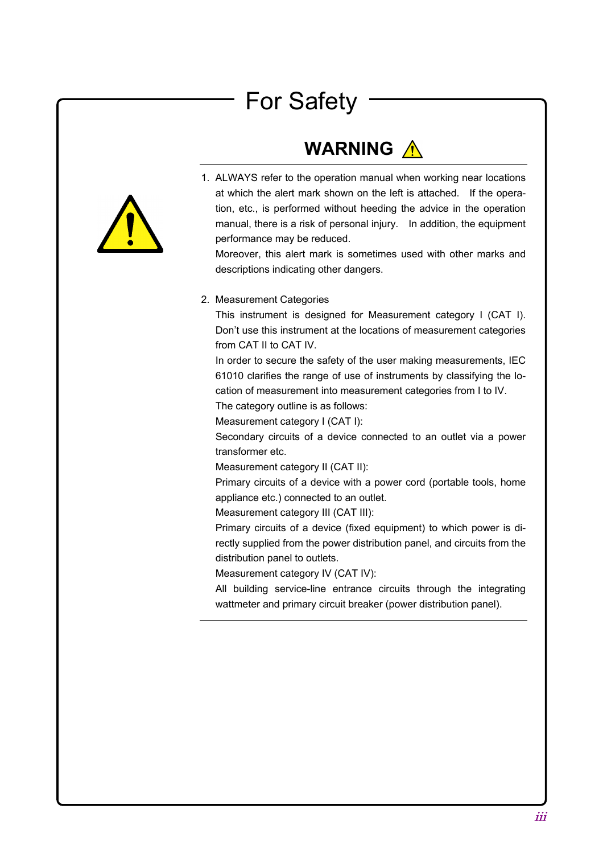# For Safety

# WARNING A



1. ALWAYS refer to the operation manual when working near locations at which the alert mark shown on the left is attached. If the operation, etc., is performed without heeding the advice in the operation manual, there is a risk of personal injury. In addition, the equipment performance may be reduced.

Moreover, this alert mark is sometimes used with other marks and descriptions indicating other dangers.

#### 2. Measurement Categories

This instrument is designed for Measurement category I (CAT I). Don't use this instrument at the locations of measurement categories from CAT II to CAT IV.

In order to secure the safety of the user making measurements, IEC 61010 clarifies the range of use of instruments by classifying the location of measurement into measurement categories from I to IV.

The category outline is as follows:

Measurement category I (CAT I):

Secondary circuits of a device connected to an outlet via a power transformer etc.

Measurement category II (CAT II):

Primary circuits of a device with a power cord (portable tools, home appliance etc.) connected to an outlet.

Measurement category III (CAT III):

Primary circuits of a device (fixed equipment) to which power is directly supplied from the power distribution panel, and circuits from the distribution panel to outlets.

Measurement category IV (CAT IV):

All building service-line entrance circuits through the integrating wattmeter and primary circuit breaker (power distribution panel).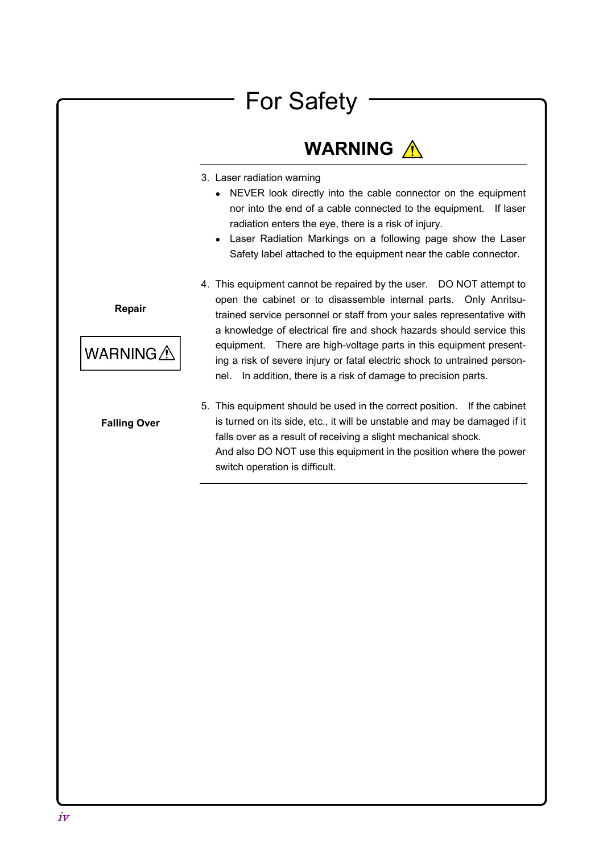### For Safety WARNING A 3. Laser radiation warning • NEVER look directly into the cable connector on the equipment nor into the end of a cable connected to the equipment. If laser radiation enters the eye, there is a risk of injury. • Laser Radiation Markings on a following page show the Laser Safety label attached to the equipment near the cable connector. 4. This equipment cannot be repaired by the user. DO NOT attempt to open the cabinet or to disassemble internal parts. Only Anritsu-**Repair** trained service personnel or staff from your sales representative with a knowledge of electrical fire and shock hazards should service this equipment. There are high-voltage parts in this equipment present-**WARNING**<sup>△</sup> ing a risk of severe injury or fatal electric shock to untrained personnel. In addition, there is a risk of damage to precision parts. 5. This equipment should be used in the correct position. If the cabinet is turned on its side, etc., it will be unstable and may be damaged if it **Falling Over**falls over as a result of receiving a slight mechanical shock. And also DO NOT use this equipment in the position where the power switch operation is difficult.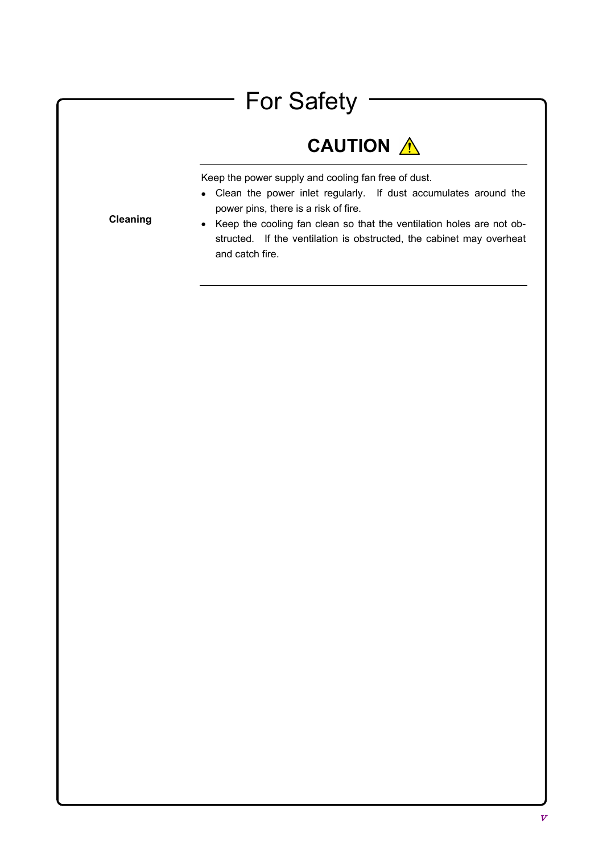# For Safety

# **CAUTION** A

Keep the power supply and cooling fan free of dust.

• Clean the power inlet regularly. If dust accumulates around the power pins, there is a risk of fire.

#### **Cleaning**

• Keep the cooling fan clean so that the ventilation holes are not obstructed. If the ventilation is obstructed, the cabinet may overheat and catch fire.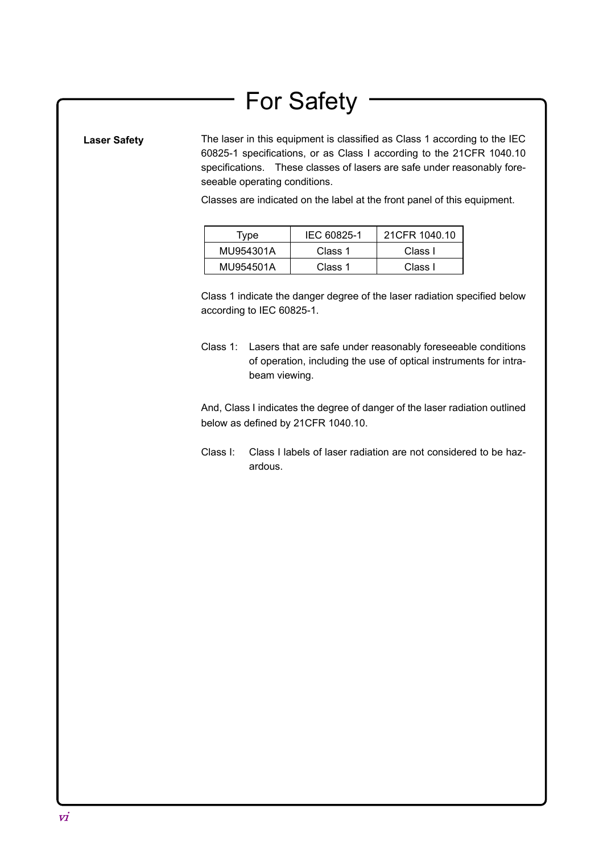# For Safety

**Laser Safety**

The laser in this equipment is classified as Class 1 according to the IEC 60825-1 specifications, or as Class I according to the 21CFR 1040.10 specifications. These classes of lasers are safe under reasonably foreseeable operating conditions.

Classes are indicated on the label at the front panel of this equipment.

| $\tau$ vpe | IEC 60825-1 | 21CFR 1040.10 |
|------------|-------------|---------------|
| MU954301A  | Class 1     | Class I       |
| MU954501A  | Class 1     | Class.        |

Class 1 indicate the danger degree of the laser radiation specified below according to IEC 60825-1.

Class 1: Lasers that are safe under reasonably foreseeable conditions of operation, including the use of optical instruments for intrabeam viewing.

And, Class I indicates the degree of danger of the laser radiation outlined below as defined by 21CFR 1040.10.

Class I: Class I labels of laser radiation are not considered to be hazardous.

I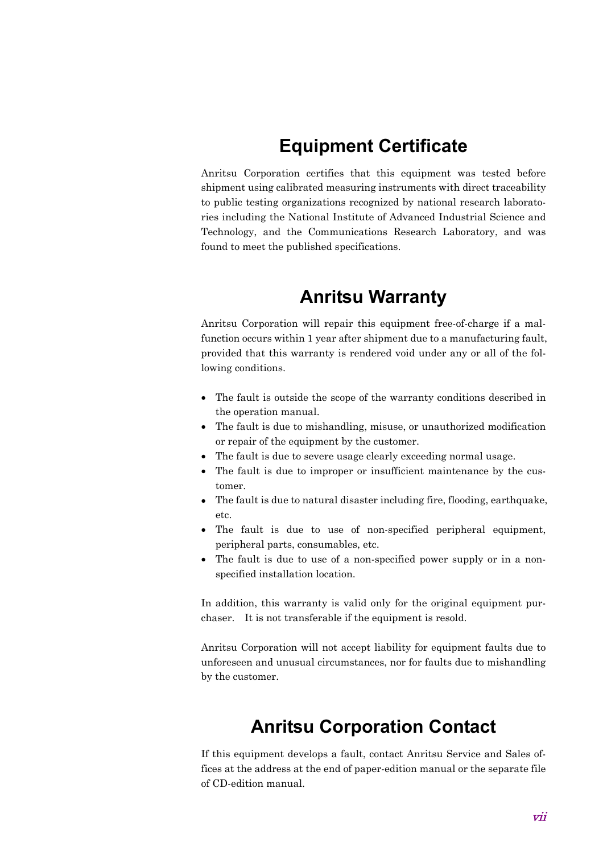### **Equipment Certificate**

Anritsu Corporation certifies that this equipment was tested before shipment using calibrated measuring instruments with direct traceability to public testing organizations recognized by national research laboratories including the National Institute of Advanced Industrial Science and Technology, and the Communications Research Laboratory, and was found to meet the published specifications.

### **Anritsu Warranty**

Anritsu Corporation will repair this equipment free-of-charge if a malfunction occurs within 1 year after shipment due to a manufacturing fault, provided that this warranty is rendered void under any or all of the following conditions.

- The fault is outside the scope of the warranty conditions described in the operation manual.
- The fault is due to mishandling, misuse, or unauthorized modification or repair of the equipment by the customer.
- The fault is due to severe usage clearly exceeding normal usage.
- The fault is due to improper or insufficient maintenance by the customer.
- The fault is due to natural disaster including fire, flooding, earthquake, etc.
- The fault is due to use of non-specified peripheral equipment, peripheral parts, consumables, etc.
- The fault is due to use of a non-specified power supply or in a nonspecified installation location.

In addition, this warranty is valid only for the original equipment purchaser. It is not transferable if the equipment is resold.

Anritsu Corporation will not accept liability for equipment faults due to unforeseen and unusual circumstances, nor for faults due to mishandling by the customer.

### **Anritsu Corporation Contact**

If this equipment develops a fault, contact Anritsu Service and Sales offices at the address at the end of paper-edition manual or the separate file of CD-edition manual.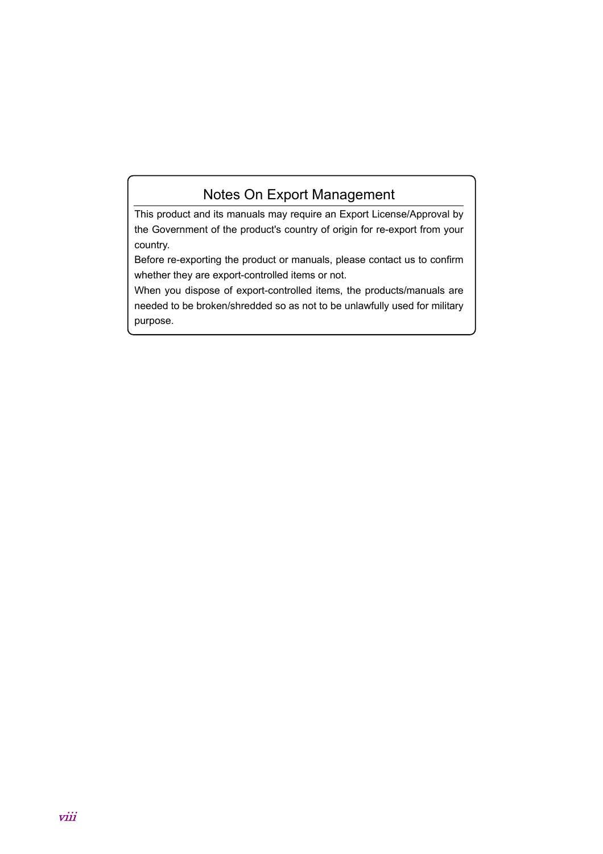### Notes On Export Management

This product and its manuals may require an Export License/Approval by the Government of the product's country of origin for re-export from your country.

Before re-exporting the product or manuals, please contact us to confirm whether they are export-controlled items or not.

When you dispose of export-controlled items, the products/manuals are needed to be broken/shredded so as not to be unlawfully used for military purpose.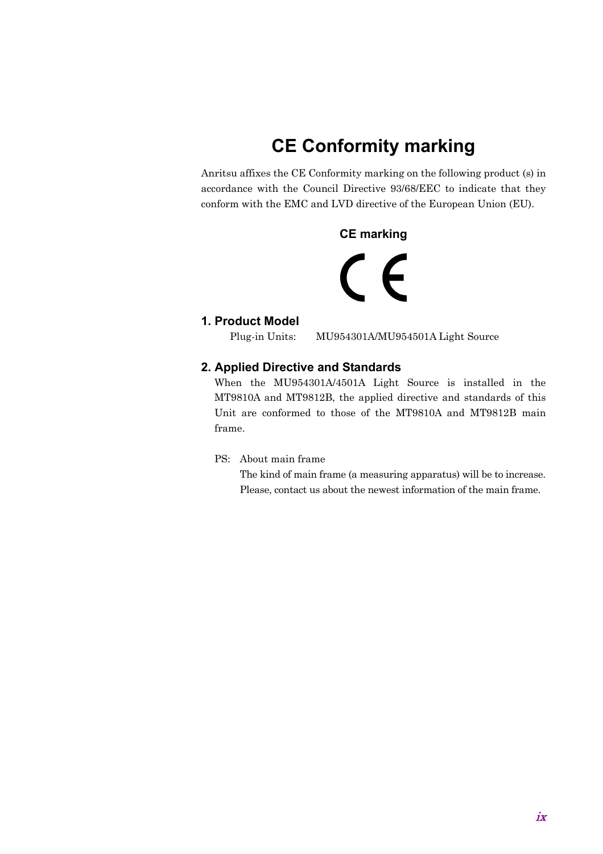### **CE Conformity marking**

Anritsu affixes the CE Conformity marking on the following product (s) in accordance with the Council Directive 93/68/EEC to indicate that they conform with the EMC and LVD directive of the European Union (EU).

#### **CE marking**

 $C \in$ 

#### **1. Product Model**

Plug-in Units: MU954301A/MU954501A Light Source

#### **2. Applied Directive and Standards**

When the MU954301A/4501A Light Source is installed in the MT9810A and MT9812B, the applied directive and standards of this Unit are conformed to those of the MT9810A and MT9812B main frame.

PS: About main frame

The kind of main frame (a measuring apparatus) will be to increase. Please, contact us about the newest information of the main frame.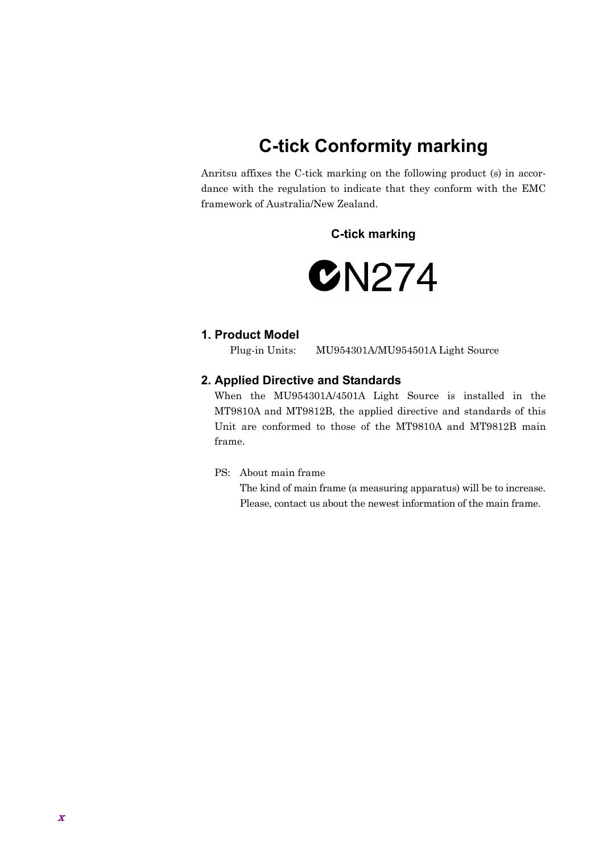### **C-tick Conformity marking**

Anritsu affixes the C-tick marking on the following product (s) in accordance with the regulation to indicate that they conform with the EMC framework of Australia/New Zealand.

**C-tick marking**



#### **1. Product Model**

Plug-in Units: MU954301A/MU954501A Light Source

#### **2. Applied Directive and Standards**

When the MU954301A/4501A Light Source is installed in the MT9810A and MT9812B, the applied directive and standards of this Unit are conformed to those of the MT9810A and MT9812B main frame.

PS: About main frame

The kind of main frame (a measuring apparatus) will be to increase. Please, contact us about the newest information of the main frame.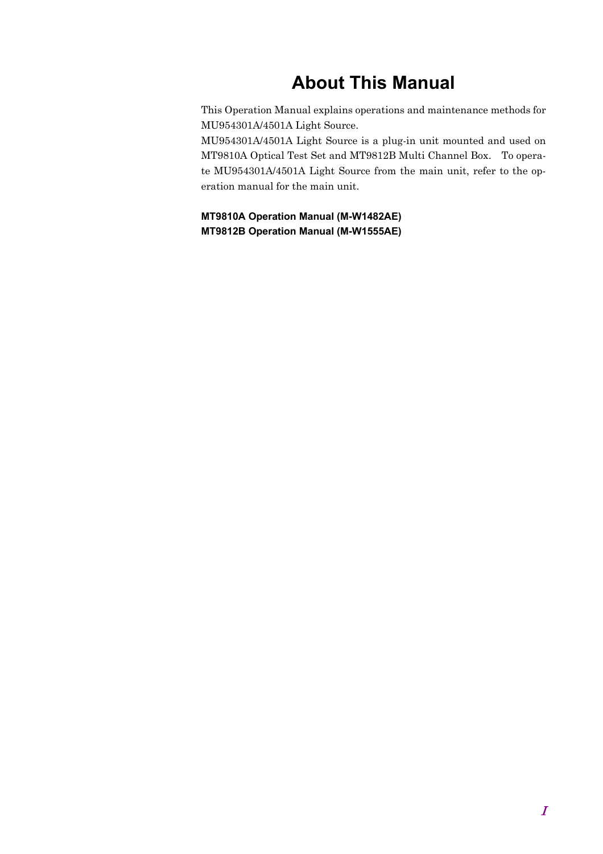### **About This Manual**

This Operation Manual explains operations and maintenance methods for MU954301A/4501A Light Source.

MU954301A/4501A Light Source is a plug-in unit mounted and used on MT9810A Optical Test Set and MT9812B Multi Channel Box. To operate MU954301A/4501A Light Source from the main unit, refer to the operation manual for the main unit.

**MT9810A Operation Manual (M-W1482AE) MT9812B Operation Manual (M-W1555AE)**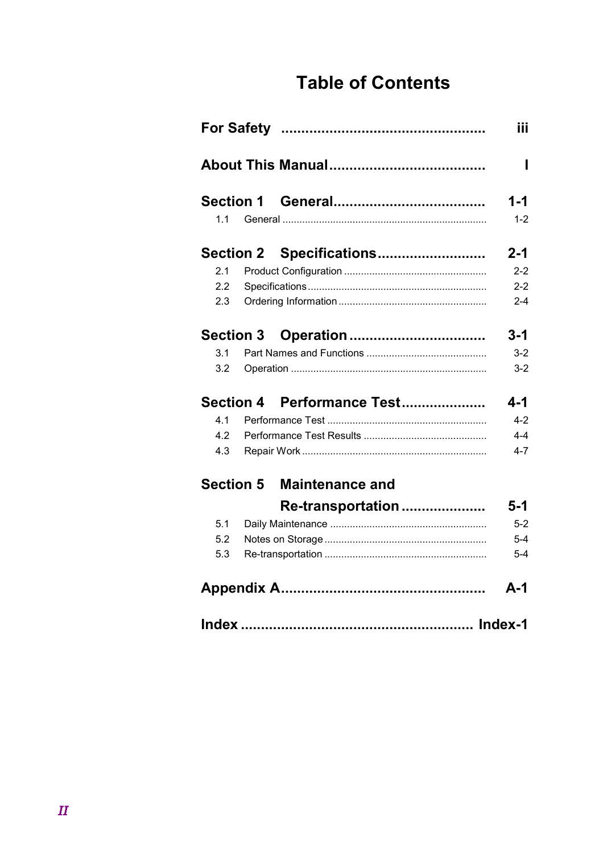## **Table of Contents**

|                  |                                    | iii     |
|------------------|------------------------------------|---------|
|                  |                                    | ı       |
| <b>Section 1</b> |                                    | $1 - 1$ |
| 1.1              |                                    | $1-2$   |
|                  | <b>Section 2</b><br>Specifications | $2 - 1$ |
| 2.1              |                                    | $2 - 2$ |
| 2.2              |                                    | $2 - 2$ |
| 2.3              |                                    | $2 - 4$ |
|                  | <b>Section 3</b>                   | $3 - 1$ |
| 3.1              |                                    | $3 - 2$ |
| 3.2              |                                    | $3 - 2$ |
| <b>Section 4</b> | Performance Test                   | $4 - 1$ |
| 4.1              |                                    | $4-2$   |
| 4.2              |                                    | $4 - 4$ |
| 4.3              |                                    | $4 - 7$ |
| <b>Section 5</b> | <b>Maintenance and</b>             |         |
|                  | Re-transportation                  | $5 - 1$ |
| 5.1              |                                    | $5 - 2$ |
| 5.2              |                                    | $5 - 4$ |
| 5.3              |                                    | $5 - 4$ |
|                  |                                    | $A - 1$ |
|                  |                                    |         |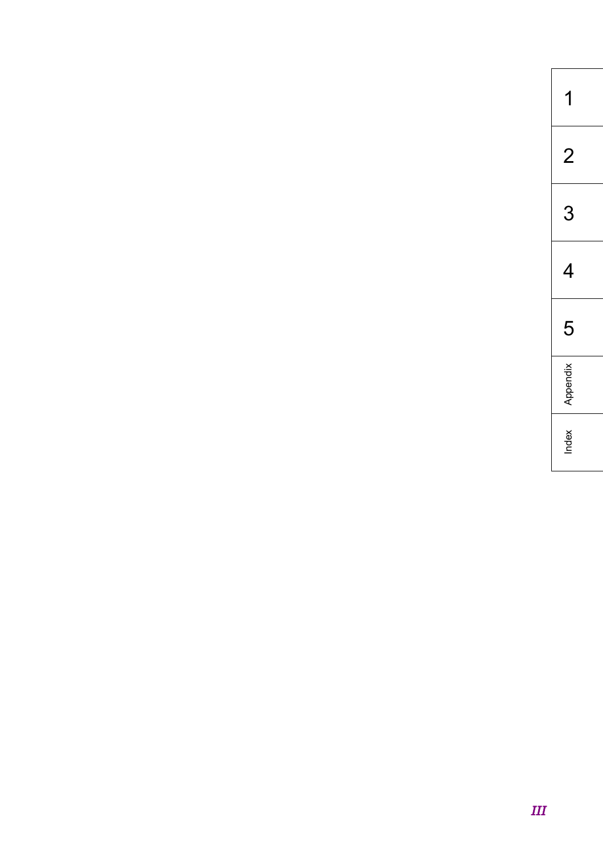| 1                  |
|--------------------|
| 2                  |
| 3                  |
|                    |
| $\bar{\mathbf{c}}$ |
| Appendix           |
| ndex               |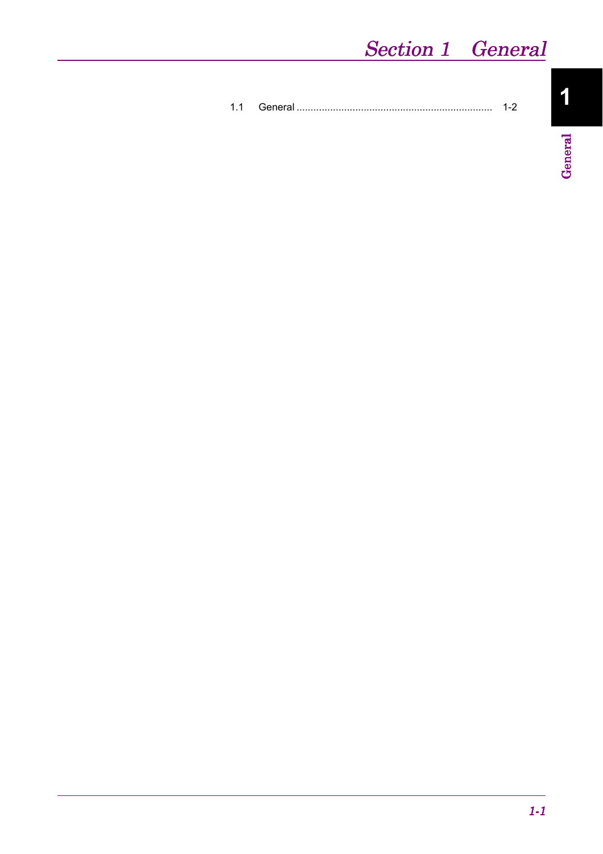# Section 1 General

| . . |  |
|-----|--|
|     |  |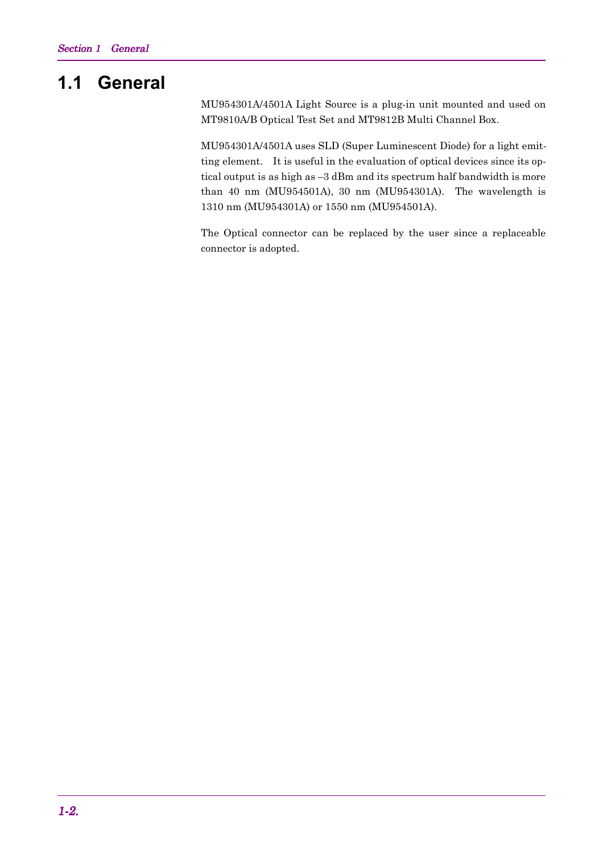### **1.1 General**

MU954301A/4501A Light Source is a plug-in unit mounted and used on MT9810A/B Optical Test Set and MT9812B Multi Channel Box.

MU954301A/4501A uses SLD (Super Luminescent Diode) for a light emitting element. It is useful in the evaluation of optical devices since its optical output is as high as –3 dBm and its spectrum half bandwidth is more than 40 nm (MU954501A), 30 nm (MU954301A). The wavelength is 1310 nm (MU954301A) or 1550 nm (MU954501A).

The Optical connector can be replaced by the user since a replaceable connector is adopted.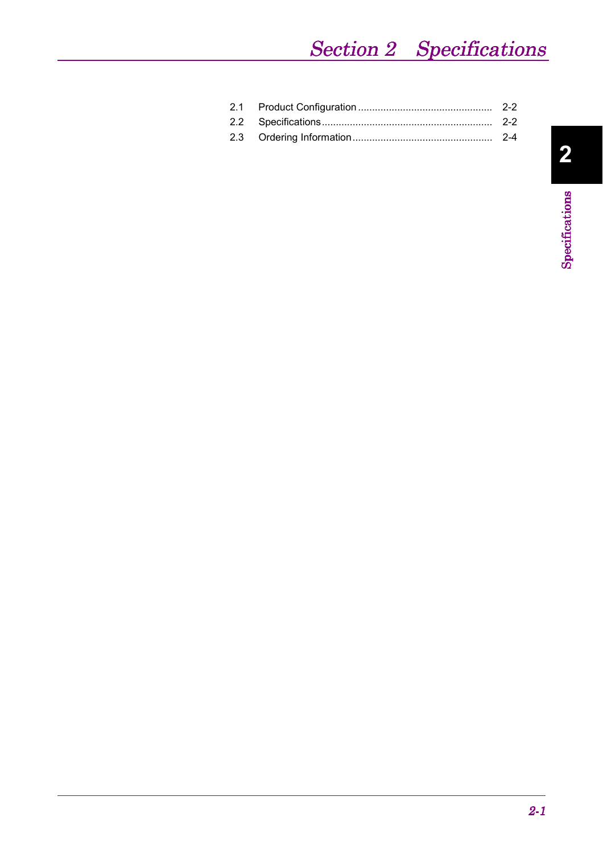# Section 2 Specifications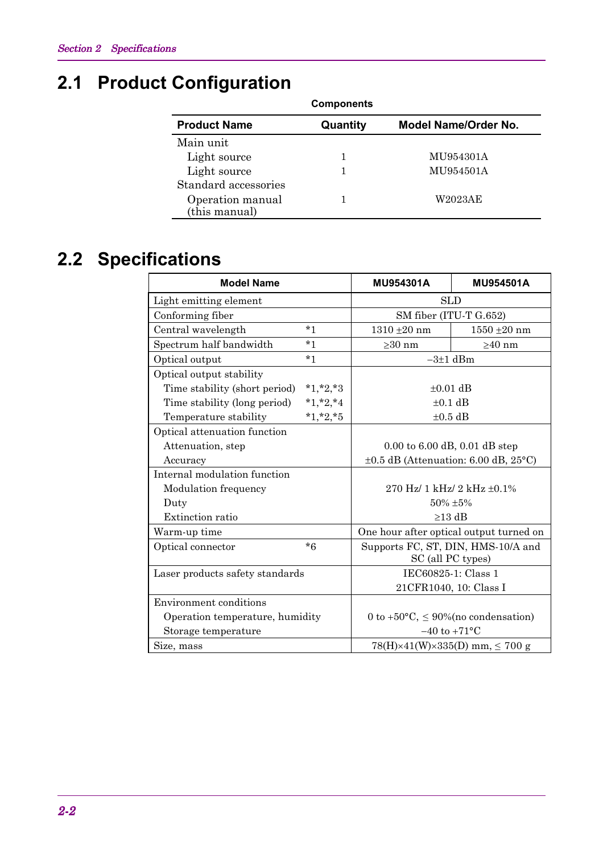# **2.1 Product Configuration**

| <b>Components</b>                 |          |                      |  |  |
|-----------------------------------|----------|----------------------|--|--|
| <b>Product Name</b>               | Quantity | Model Name/Order No. |  |  |
| Main unit                         |          |                      |  |  |
| Light source                      |          | MU954301A            |  |  |
| Light source                      |          | MU954501A            |  |  |
| Standard accessories              |          |                      |  |  |
| Operation manual<br>(this manual) |          | W2023AE              |  |  |

# **2.2 Specifications**

| <b>Model Name</b>               |            | <b>MU954301A</b>                                  | <b>MU954501A</b>                                        |
|---------------------------------|------------|---------------------------------------------------|---------------------------------------------------------|
| Light emitting element          |            | <b>SLD</b>                                        |                                                         |
| Conforming fiber                |            |                                                   | SM fiber (ITU-T G.652)                                  |
| Central wavelength              | $*1$       | $1310 \pm 20$ nm                                  | $1550 \pm 20$ nm                                        |
| Spectrum half bandwidth         | $*1$       | $\geq$ 30 nm                                      | $\geq$ 40 nm                                            |
| Optical output                  | $*1$       |                                                   | $-3\pm1$ dBm                                            |
| Optical output stability        |            |                                                   |                                                         |
| Time stability (short period)   | $*1,*2,*3$ |                                                   | $\pm 0.01$ dB                                           |
| Time stability (long period)    | $*1,*2,*4$ |                                                   | $\pm 0.1$ dB                                            |
| Temperature stability           | $*1,*2,*5$ |                                                   | $\pm 0.5$ dB                                            |
| Optical attenuation function    |            |                                                   |                                                         |
| Attenuation, step               |            | $0.00$ to $6.00$ dB, $0.01$ dB step               |                                                         |
| Accuracy                        |            | $\pm 0.5$ dB (Attenuation: 6.00 dB, 25°C)         |                                                         |
| Internal modulation function    |            |                                                   |                                                         |
| Modulation frequency            |            |                                                   | 270 Hz/ 1 kHz/ 2 kHz $\pm 0.1\%$                        |
| Duty                            |            | $50\% + 5\%$                                      |                                                         |
| Extinction ratio                |            | $\geq$ 13 dB                                      |                                                         |
| Warm-up time                    |            | One hour after optical output turned on           |                                                         |
| Optical connector               | $*_{6}$    |                                                   | Supports FC, ST, DIN, HMS-10/A and<br>SC (all PC types) |
| Laser products safety standards |            | IEC60825-1: Class 1                               |                                                         |
|                                 |            | 21CFR1040, 10: Class I                            |                                                         |
| Environment conditions          |            |                                                   |                                                         |
| Operation temperature, humidity |            | 0 to +50 $\degree$ C, $\leq$ 90%(no condensation) |                                                         |
| Storage temperature             |            | $-40$ to $+71$ °C                                 |                                                         |
| Size, mass                      |            | $78(H)\times41(W)\times335(D)$ mm, $\leq 700$ g   |                                                         |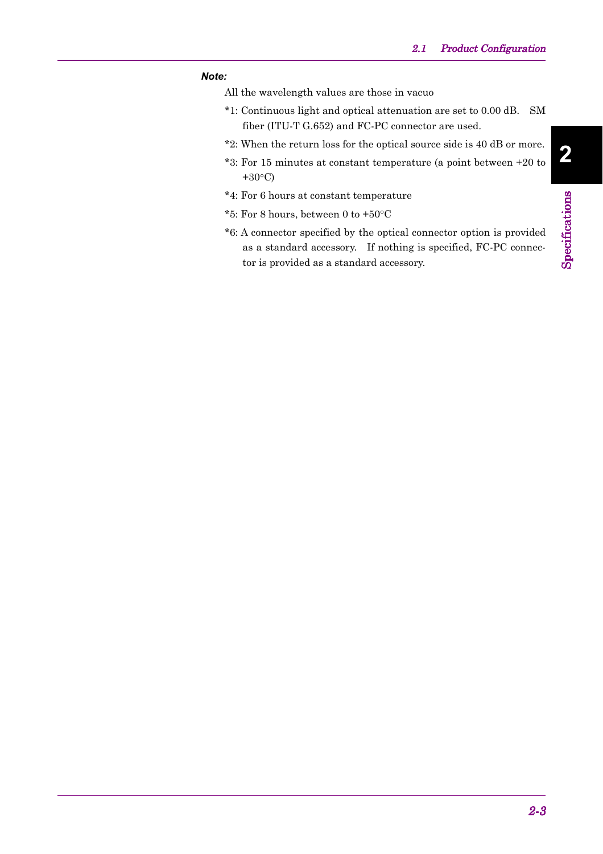#### *Note:*

- All the wavelength values are those in vacuo
- \*1: Continuous light and optical attenuation are set to 0.00 dB. SM fiber (ITU-T G.652) and FC-PC connector are used.
- \*2: When the return loss for the optical source side is 40 dB or more.
- \*3: For 15 minutes at constant temperature (a point between +20 to +30°C)
- \*4: For 6 hours at constant temperature
- \*5: For 8 hours, between 0 to  $+50^{\circ}$ C
- \*6: A connector specified by the optical connector option is provided as a standard accessory. If nothing is specified, FC-PC connector is provided as a standard accessory.

**2**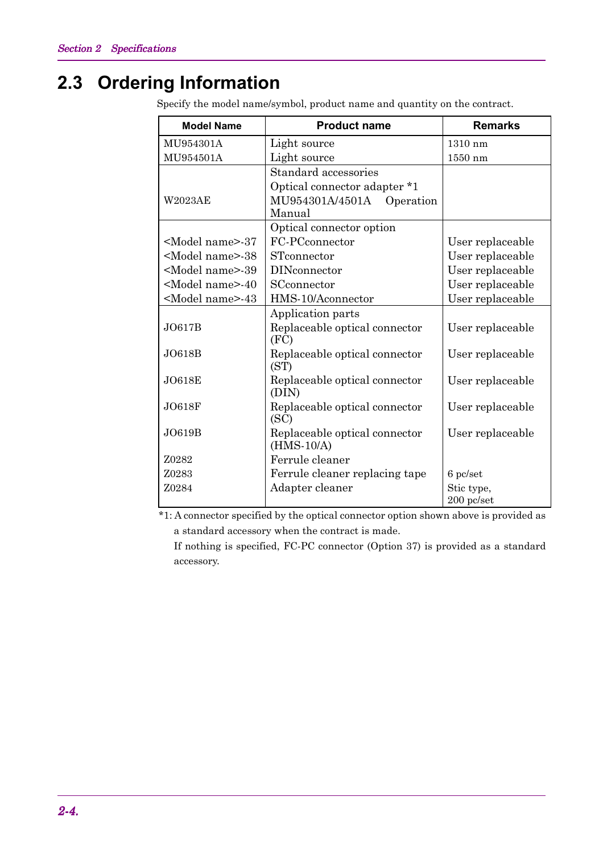### **2.3 Ordering Information**

Specify the model name/symbol, product name and quantity on the contract.

| <b>Model Name</b>          | <b>Product name</b>                           | <b>Remarks</b>    |
|----------------------------|-----------------------------------------------|-------------------|
| MU954301A                  | Light source                                  | $1310 \text{ nm}$ |
| MU954501A                  | Light source                                  | 1550 nm           |
|                            | Standard accessories                          |                   |
|                            | Optical connector adapter *1                  |                   |
| <b>W2023AE</b>             | MU954301A/4501A<br>Operation<br>Manual        |                   |
|                            | Optical connector option                      |                   |
| <model name="">-37</model> | FC-PCconnector                                | User replaceable  |
| <model name="">-38</model> | STconnector                                   | User replaceable  |
| <model name="">-39</model> | <b>DINconnector</b>                           | User replaceable  |
| <model name="">-40</model> | SCconnector                                   | User replaceable  |
| <model name="">-43</model> | HMS-10/Aconnector                             | User replaceable  |
|                            | Application parts                             |                   |
| <b>JO617B</b>              | Replaceable optical connector<br>(FC)         | User replaceable  |
| <b>JO618B</b>              | Replaceable optical connector<br>(ST)         | User replaceable  |
| <b>JO618E</b>              | Replaceable optical connector<br>(DIN)        | User replaceable  |
| JO618F                     | Replaceable optical connector<br>(SC)         | User replaceable  |
| JO619B                     | Replaceable optical connector<br>$(HMS-10/A)$ | User replaceable  |
| Z0282                      | Ferrule cleaner                               |                   |
| Z0283                      | Ferrule cleaner replacing tape                | 6 pc/set          |
| Z0284                      | Adapter cleaner                               | Stic type,        |
|                            |                                               | $200$ pc/set      |

\*1: A connector specified by the optical connector option shown above is provided as a standard accessory when the contract is made.

If nothing is specified, FC-PC connector (Option 37) is provided as a standard accessory.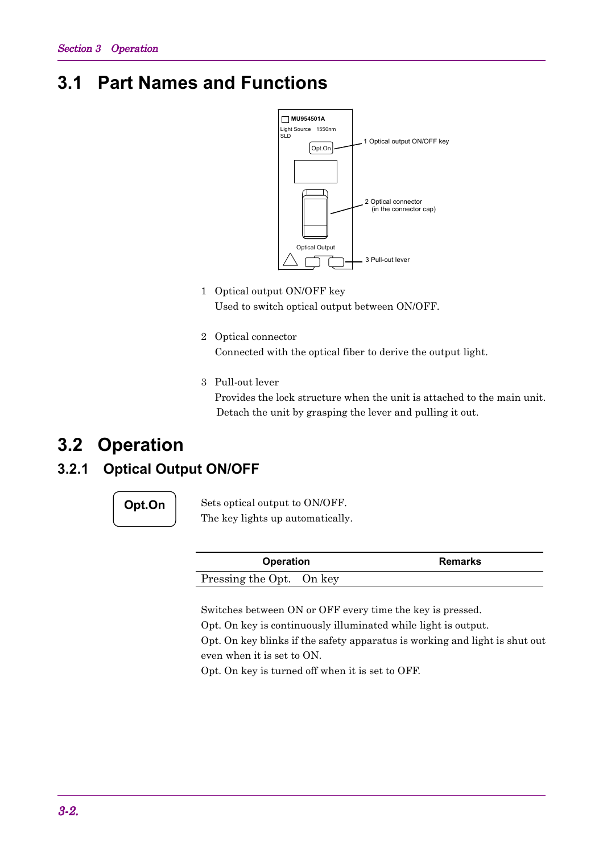### **3.1 Part Names and Functions**



- 1 Optical output ON/OFF key Used to switch optical output between ON/OFF.
- 2 Optical connector Connected with the optical fiber to derive the output light.
- 3 Pull-out lever

Provides the lock structure when the unit is attached to the main unit. Detach the unit by grasping the lever and pulling it out.

### **3.2 Operation**

### **3.2.1 Optical Output ON/OFF**

**Opt.On**

Sets optical output to ON/OFF. The key lights up automatically.

| <b>Operation</b>         |  | Remarks |
|--------------------------|--|---------|
| Pressing the Opt. On key |  |         |

Switches between ON or OFF every time the key is pressed.

Opt. On key is continuously illuminated while light is output.

Opt. On key blinks if the safety apparatus is working and light is shut out even when it is set to ON.

Opt. On key is turned off when it is set to OFF.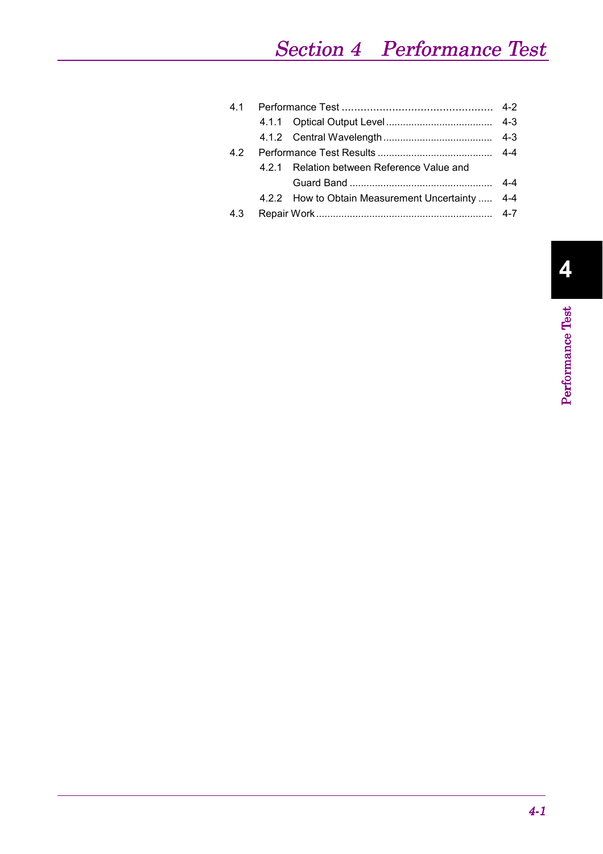# Section 4 Performance Test

| 4.1 |                                             |         |
|-----|---------------------------------------------|---------|
|     |                                             |         |
|     |                                             |         |
| 4.2 |                                             |         |
|     | 4.2.1 Relation between Reference Value and  |         |
|     |                                             | $4 - 4$ |
|     | 4.2.2 How to Obtain Measurement Uncertainty | $4 - 4$ |
| 4.3 |                                             |         |
|     |                                             |         |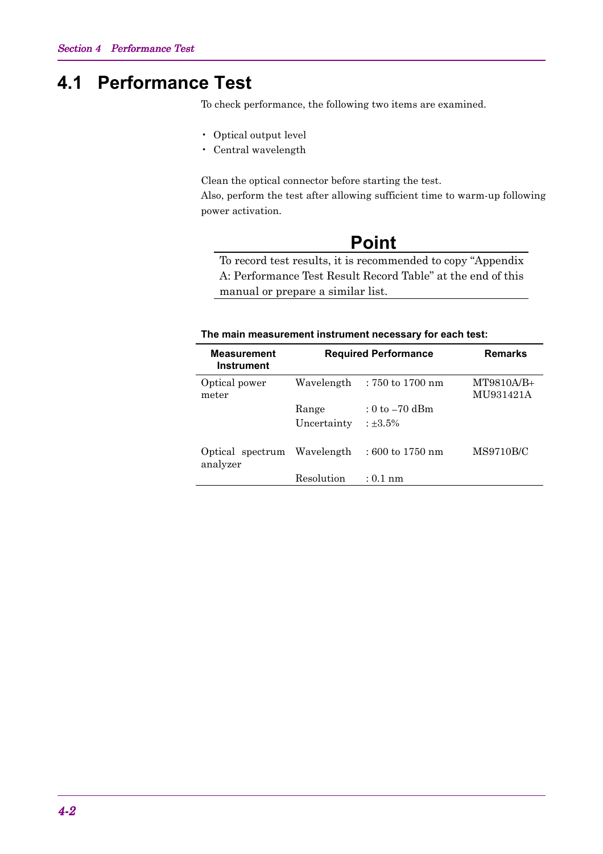### **4.1 Performance Test**

To check performance, the following two items are examined.

- Optical output level
- Central wavelength

Clean the optical connector before starting the test.

Also, perform the test after allowing sufficient time to warm-up following power activation.

### **Point**

To record test results, it is recommended to copy "Appendix

A: Performance Test Result Record Table" at the end of this manual or prepare a similar list.

#### **The main measurement instrument necessary for each test:**

| <b>Measurement</b><br><b>Instrument</b> |             | <b>Required Performance</b>         | <b>Remarks</b>            |
|-----------------------------------------|-------------|-------------------------------------|---------------------------|
| Optical power<br>meter                  | Wavelength  | $: 750 \text{ to } 1700 \text{ nm}$ | $MT9810A/B+$<br>MU931421A |
|                                         | Range       | $: 0 \text{ to } -70 \text{ dBm}$   |                           |
|                                         | Uncertainty | $: \pm 3.5\%$                       |                           |
| Optical spectrum Wavelength<br>analyzer |             | $: 600 \text{ to } 1750 \text{ nm}$ | <b>MS9710B/C</b>          |
|                                         | Resolution  | $: 0.1$ nm                          |                           |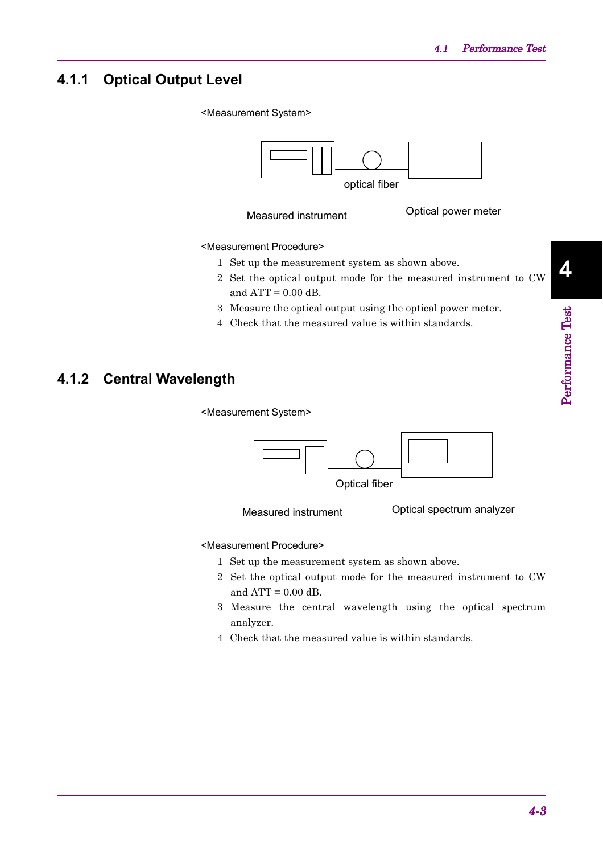### **4.1.1 Optical Output Level**

<Measurement System>



Measured instrument

Optical power meter

#### <Measurement Procedure>

- 1 Set up the measurement system as shown above.
- 2 Set the optical output mode for the measured instrument to CW and  $ATT = 0.00$  dB.
- 3 Measure the optical output using the optical power meter.
- 4 Check that the measured value is within standards.

### **4.1.2 Central Wavelength**

<Measurement System>



Measured instrument Optical spectrum analyzer

#### <Measurement Procedure>

- 1 Set up the measurement system as shown above.
- 2 Set the optical output mode for the measured instrument to CW and  $ATT = 0.00$  dB.
- 3 Measure the central wavelength using the optical spectrum analyzer.
- 4 Check that the measured value is within standards.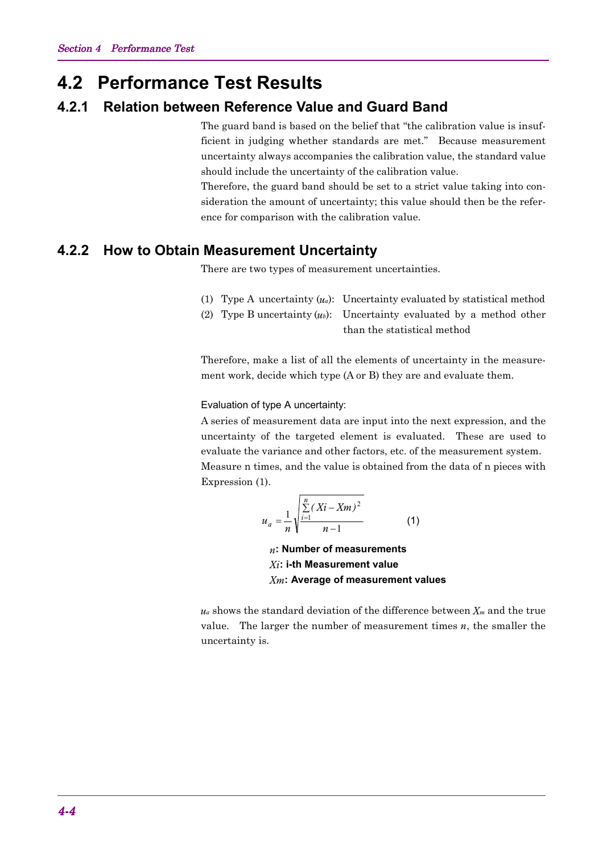### **4.2 Performance Test Results**

#### **4.2.1 Relation between Reference Value and Guard Band**

The guard band is based on the belief that "the calibration value is insufficient in judging whether standards are met." Because measurement uncertainty always accompanies the calibration value, the standard value should include the uncertainty of the calibration value.

Therefore, the guard band should be set to a strict value taking into consideration the amount of uncertainty; this value should then be the reference for comparison with the calibration value.

#### **4.2.2 How to Obtain Measurement Uncertainty**

There are two types of measurement uncertainties.

- (1) Type A uncertainty (*ua*): Uncertainty evaluated by statistical method
- (2) Type B uncertainty (*ub*): Uncertainty evaluated by a method other than the statistical method

Therefore, make a list of all the elements of uncertainty in the measurement work, decide which type (A or B) they are and evaluate them.

Evaluation of type A uncertainty:

A series of measurement data are input into the next expression, and the uncertainty of the targeted element is evaluated. These are used to evaluate the variance and other factors, etc. of the measurement system. Measure n times, and the value is obtained from the data of n pieces with Expression (1).

$$
u_a = \frac{1}{n} \sqrt{\frac{\sum_{i=1}^{n} (Xi - Xm)^2}{n-1}}
$$
 (1)

*n***: Number of measurements** *Xi***: i-th Measurement value** *Xm***: Average of measurement values**

 $u_a$  shows the standard deviation of the difference between  $X_m$  and the true value. The larger the number of measurement times  $n$ , the smaller the uncertainty is.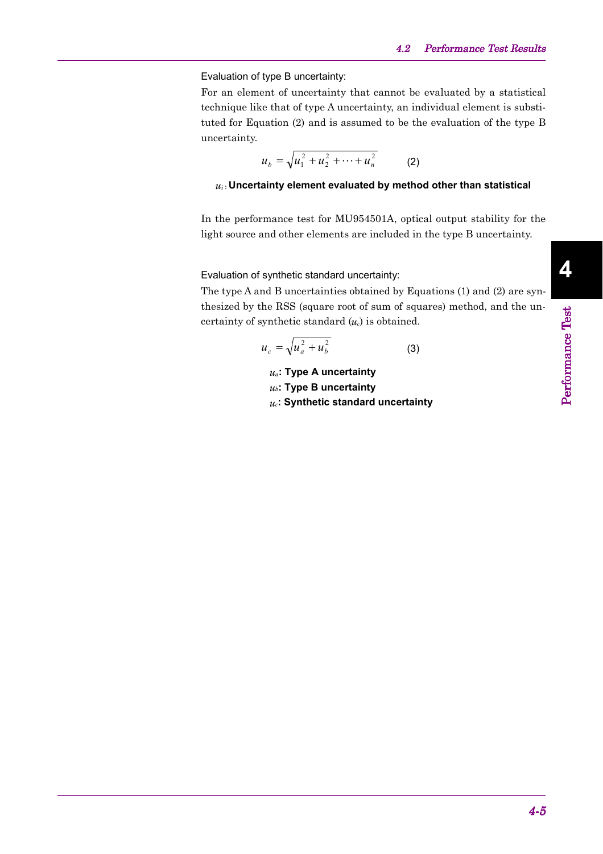#### Evaluation of type B uncertainty:

For an element of uncertainty that cannot be evaluated by a statistical technique like that of type A uncertainty, an individual element is substituted for Equation (2) and is assumed to be the evaluation of the type B uncertainty.

$$
u_b = \sqrt{u_1^2 + u_2^2 + \dots + u_n^2}
$$
 (2)

#### *ui* **: Uncertainty element evaluated by method other than statistical**

In the performance test for MU954501A, optical output stability for the light source and other elements are included in the type B uncertainty.

#### Evaluation of synthetic standard uncertainty:

The type A and B uncertainties obtained by Equations (1) and (2) are synthesized by the RSS (square root of sum of squares) method, and the uncertainty of synthetic standard (*uc*) is obtained.

$$
u_c = \sqrt{u_a^2 + u_b^2} \tag{3}
$$

*ua***: Type A uncertainty** *ub***: Type B uncertainty** *uc***: Synthetic standard uncertainty**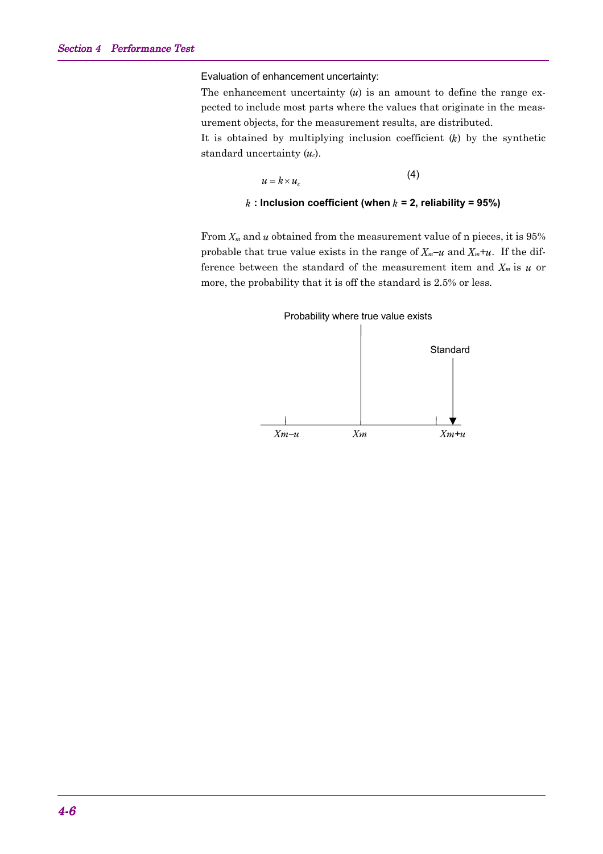#### Evaluation of enhancement uncertainty:

The enhancement uncertainty (*u*) is an amount to define the range expected to include most parts where the values that originate in the measurement objects, for the measurement results, are distributed.

It is obtained by multiplying inclusion coefficient (*k*) by the synthetic standard uncertainty (*uc*).

$$
u = k \times u_c \tag{4}
$$

 $k:$  Inclusion coefficient (when  $k = 2$ , reliability = 95%)

From  $X_m$  and  $u$  obtained from the measurement value of n pieces, it is 95% probable that true value exists in the range of  $X_m$ −*u* and  $X_m$ +*u*. If the difference between the standard of the measurement item and  $X_m$  is  $u$  or more, the probability that it is off the standard is 2.5% or less.

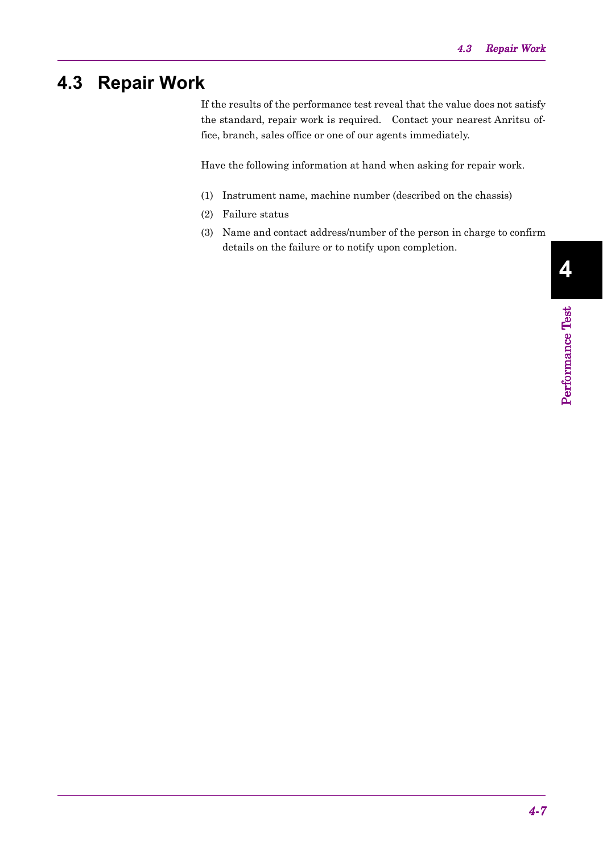### **4.3 Repair Work**

If the results of the performance test reveal that the value does not satisfy the standard, repair work is required. Contact your nearest Anritsu office, branch, sales office or one of our agents immediately.

Have the following information at hand when asking for repair work.

- (1) Instrument name, machine number (described on the chassis)
- (2) Failure status
- (3) Name and contact address/number of the person in charge to confirm details on the failure or to notify upon completion.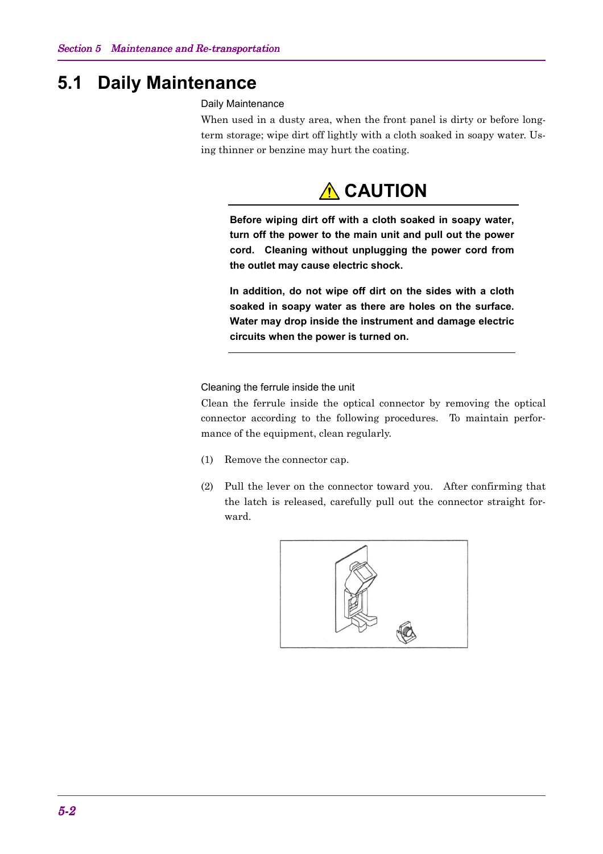### **5.1 Daily Maintenance**

#### Daily Maintenance

When used in a dusty area, when the front panel is dirty or before longterm storage; wipe dirt off lightly with a cloth soaked in soapy water. Using thinner or benzine may hurt the coating.

# **A** CAUTION

**Before wiping dirt off with a cloth soaked in soapy water, turn off the power to the main unit and pull out the power cord. Cleaning without unplugging the power cord from the outlet may cause electric shock.**

**In addition, do not wipe off dirt on the sides with a cloth soaked in soapy water as there are holes on the surface. Water may drop inside the instrument and damage electric circuits when the power is turned on.**

Cleaning the ferrule inside the unit

Clean the ferrule inside the optical connector by removing the optical connector according to the following procedures. To maintain performance of the equipment, clean regularly.

- (1) Remove the connector cap.
- (2) Pull the lever on the connector toward you. After confirming that the latch is released, carefully pull out the connector straight forward.

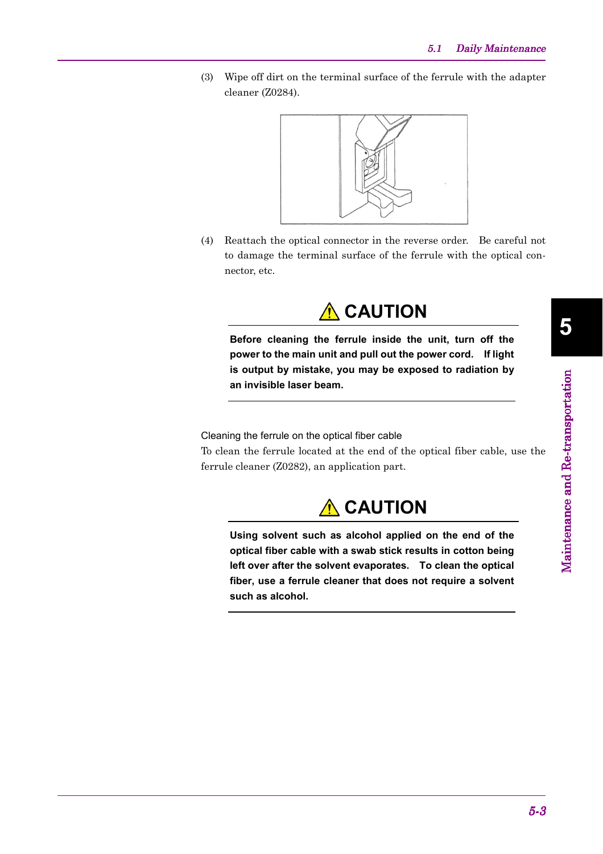(3) Wipe off dirt on the terminal surface of the ferrule with the adapter cleaner (Z0284).



(4) Reattach the optical connector in the reverse order. Be careful not to damage the terminal surface of the ferrule with the optical connector, etc.

 **CAUTION**

**Before cleaning the ferrule inside the unit, turn off the power to the main unit and pull out the power cord. If light is output by mistake, you may be exposed to radiation by an invisible laser beam.**

Cleaning the ferrule on the optical fiber cable

To clean the ferrule located at the end of the optical fiber cable, use the ferrule cleaner (Z0282), an application part.



**Using solvent such as alcohol applied on the end of the optical fiber cable with a swab stick results in cotton being left over after the solvent evaporates. To clean the optical fiber, use a ferrule cleaner that does not require a solvent such as alcohol.**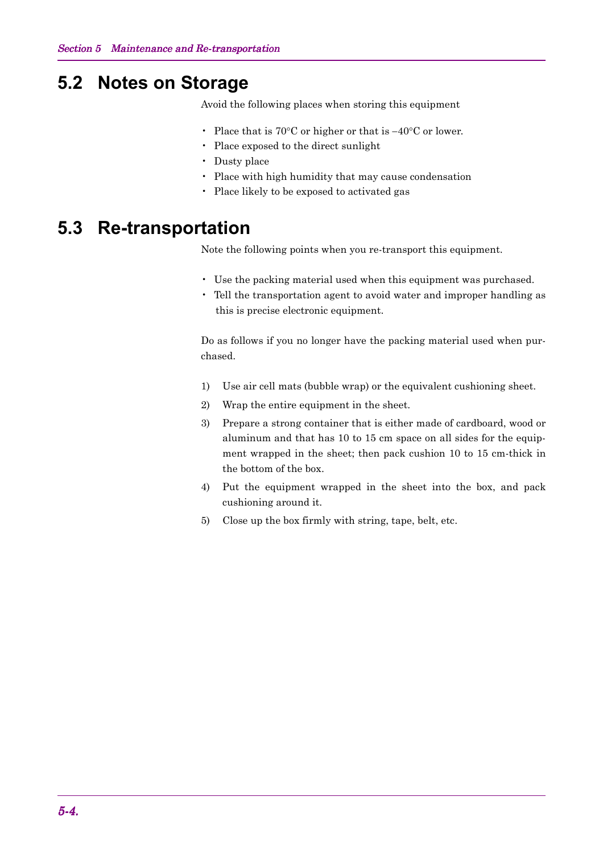### **5.2 Notes on Storage**

Avoid the following places when storing this equipment

- Place that is 70°C or higher or that is −40°C or lower.
- Place exposed to the direct sunlight
- Dusty place
- Place with high humidity that may cause condensation
- Place likely to be exposed to activated gas

### **5.3 Re-transportation**

Note the following points when you re-transport this equipment.

- Use the packing material used when this equipment was purchased.
- Tell the transportation agent to avoid water and improper handling as this is precise electronic equipment.

Do as follows if you no longer have the packing material used when purchased.

- 1) Use air cell mats (bubble wrap) or the equivalent cushioning sheet.
- 2) Wrap the entire equipment in the sheet.
- 3) Prepare a strong container that is either made of cardboard, wood or aluminum and that has 10 to 15 cm space on all sides for the equipment wrapped in the sheet; then pack cushion 10 to 15 cm-thick in the bottom of the box.
- 4) Put the equipment wrapped in the sheet into the box, and pack cushioning around it.
- 5) Close up the box firmly with string, tape, belt, etc.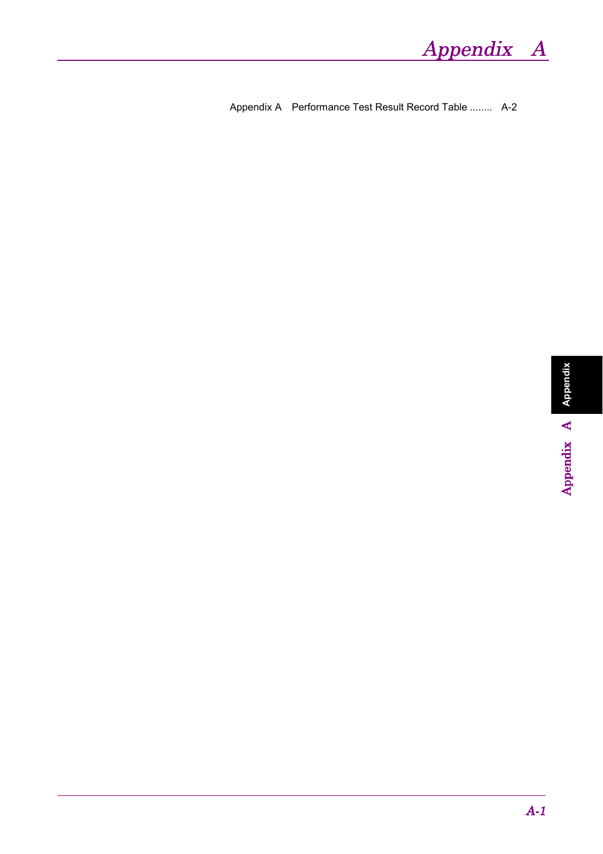Appendix A Performance Test Result Record Table ........ A-2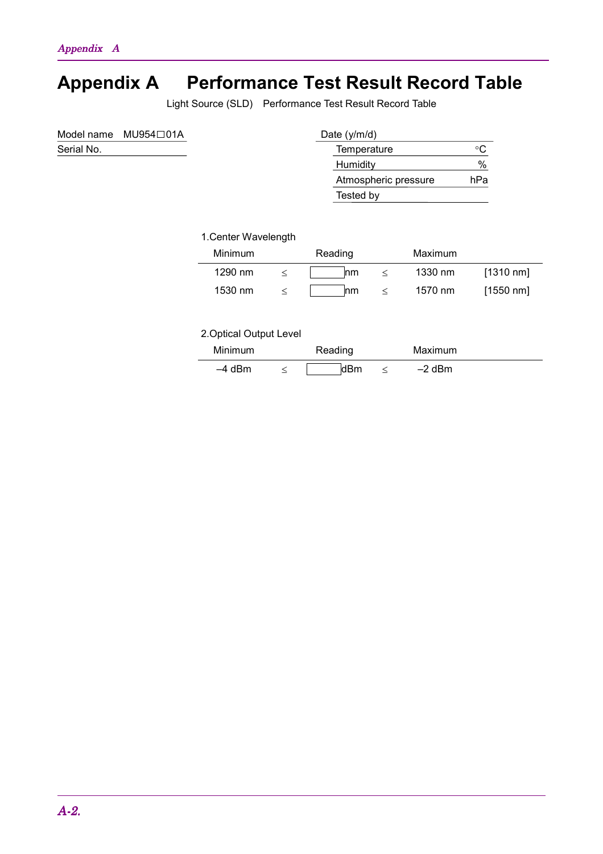# **Appendix A Performance Test Result Record Table**

Light Source (SLD) Performance Test Result Record Table

| Model name | MU954□01A |                         |        | Date (y/m/d) |        |                      |                   |  |
|------------|-----------|-------------------------|--------|--------------|--------|----------------------|-------------------|--|
| Serial No. |           |                         |        | Temperature  |        |                      | $^\circ \text{C}$ |  |
|            |           |                         |        | Humidity     |        |                      | $\%$              |  |
|            |           |                         |        |              |        | Atmospheric pressure | hPa               |  |
|            |           |                         |        | Tested by    |        |                      |                   |  |
|            |           |                         |        |              |        |                      |                   |  |
|            |           | 1. Center Wavelength    |        |              |        |                      |                   |  |
|            |           | Minimum                 |        | Reading      |        | Maximum              |                   |  |
|            |           | 1290 nm                 | $\leq$ | nm           | $\leq$ | 1330 nm              | [1310 nm]         |  |
|            |           | 1530 nm                 | $\leq$ | nm           | $\leq$ | 1570 nm              | $[1550$ nm]       |  |
|            |           |                         |        |              |        |                      |                   |  |
|            |           | 2. Optical Output Level |        |              |        |                      |                   |  |
|            |           | Minimum                 |        | Reading      |        | Maximum              |                   |  |
|            |           | $-4$ dBm                | $\leq$ | dBm          | $\leq$ | $-2$ dBm             |                   |  |
|            |           |                         |        |              |        |                      |                   |  |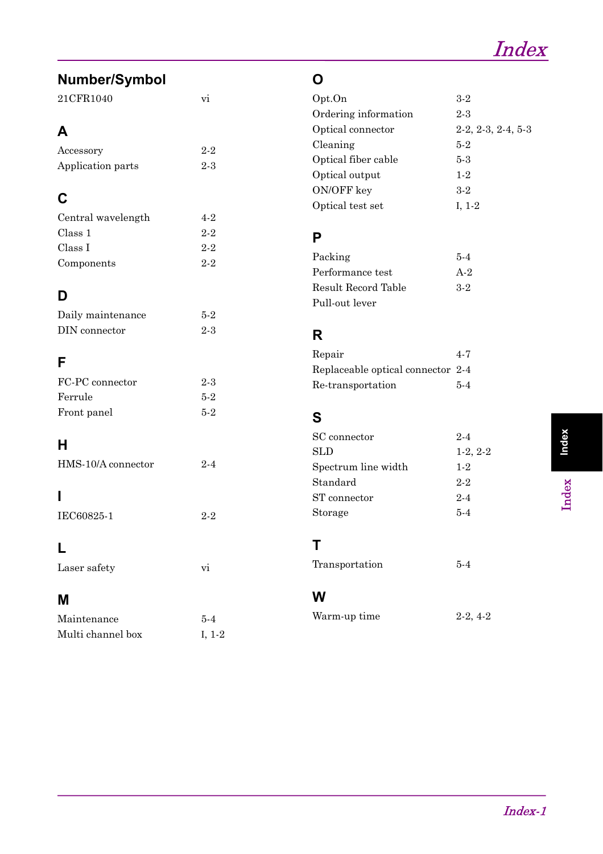

### **Number/Symbol**

#### 21CFR1040 vi

### **A**

| Accessory         | $2-2$ |
|-------------------|-------|
| Application parts | $2-3$ |

### **C**

| $4-2$   |
|---------|
| $2 - 2$ |
| $2-2$   |
| $2 - 2$ |
|         |

### **D**

| Daily maintenance | $5-2$ |
|-------------------|-------|
| DIN connector     | $2-3$ |

### **F**

| FC-PC connector | $2 - 3$ |
|-----------------|---------|
| Ferrule         | $5-2$   |
| Front panel     | $5-2$   |

### **H**

HMS-10/A connector 2-4

### **I**

IEC60825-1 2-2

### **L**

Laser safety vi

### **M**

| Maintenance       | $-5-4$   |
|-------------------|----------|
| Multi channel box | $1, 1-2$ |

### **O**

| $_{\rm Opt. On}$     | $3-2$                |
|----------------------|----------------------|
| Ordering information | 23                   |
| Optical connector    | $2-2, 2-3, 2-4, 5-3$ |
| Cleaning             | $5-2$                |
| Optical fiber cable  | 5-3                  |
| Optical output       | $1-2$                |
| ON/OFF key           | $3-2$                |
| Optical test set     | I, $1-2$             |

### **P**

| Packing             | $5-4$ |
|---------------------|-------|
| Performance test    | $A-2$ |
| Result Record Table | $3-2$ |
| Pull-out lever      |       |

### **R**

| Repair                            | $4 - 7$ |
|-----------------------------------|---------|
| Replaceable optical connector 2-4 |         |
| Re-transportation                 | $5-4$   |

### **S**

| SC connector        | $2 - 4$    |
|---------------------|------------|
| <b>SLD</b>          | $1-2, 2-2$ |
| Spectrum line width | $1-2$      |
| Standard            | $2-2$      |
| ST connector        | $2 - 4$    |
| Storage             | $5-4$      |

### **T**

Transportation 5-4

### **W**

Warm-up time 2-2, 4-2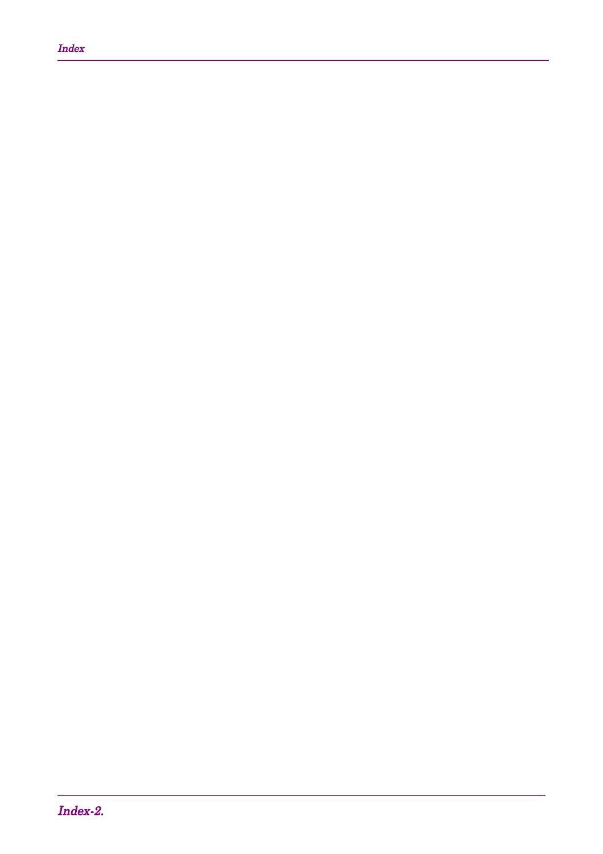#### Index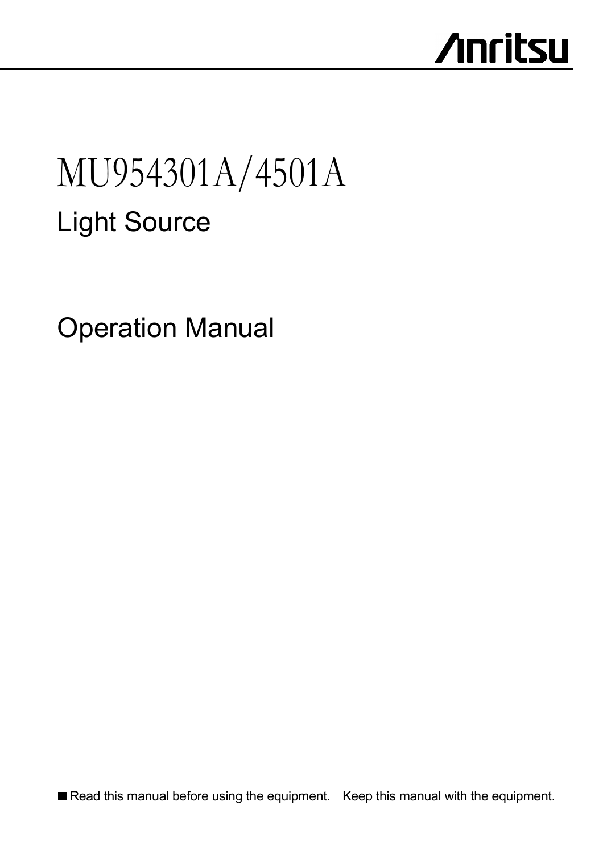# **Anritsu**

# MU954301A/4501A Light Source

Operation Manual

Read this manual before using the equipment. Keep this manual with the equipment.